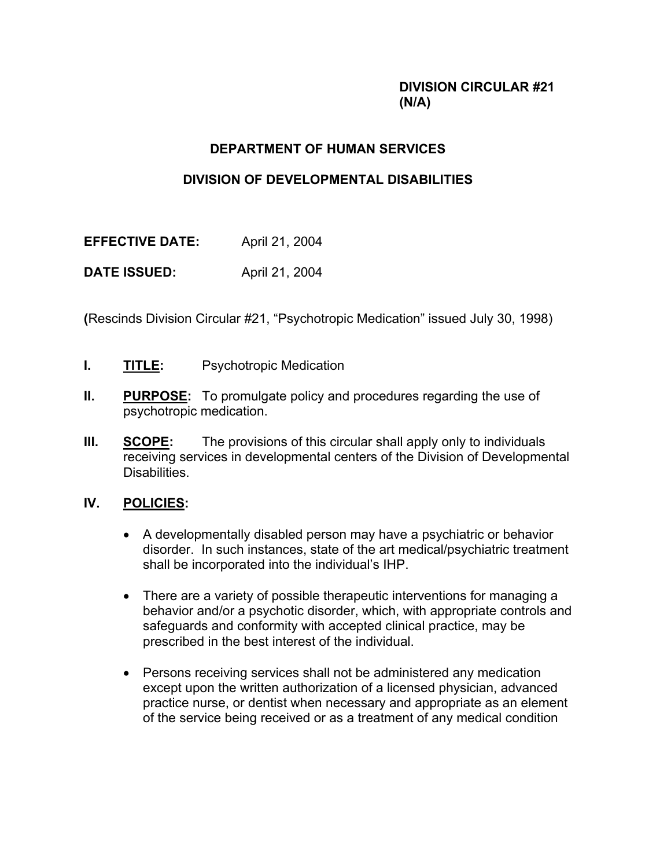# **DIVISION CIRCULAR #21 (N/A)**

# **DEPARTMENT OF HUMAN SERVICES**

# **DIVISION OF DEVELOPMENTAL DISABILITIES**

| <b>EFFECTIVE DATE:</b> | April 21, 2004 |
|------------------------|----------------|
| <b>DATE ISSUED:</b>    | April 21, 2004 |

**(**Rescinds Division Circular #21, "Psychotropic Medication" issued July 30, 1998)

- **I.** TITLE: Psychotropic Medication
- **II. PURPOSE:** To promulgate policy and procedures regarding the use of psychotropic medication.
- **III. SCOPE:** The provisions of this circular shall apply only to individuals receiving services in developmental centers of the Division of Developmental Disabilities.

## **IV. POLICIES:**

- A developmentally disabled person may have a psychiatric or behavior disorder. In such instances, state of the art medical/psychiatric treatment shall be incorporated into the individual's IHP.
- There are a variety of possible therapeutic interventions for managing a behavior and/or a psychotic disorder, which, with appropriate controls and safeguards and conformity with accepted clinical practice, may be prescribed in the best interest of the individual.
- Persons receiving services shall not be administered any medication except upon the written authorization of a licensed physician, advanced practice nurse, or dentist when necessary and appropriate as an element of the service being received or as a treatment of any medical condition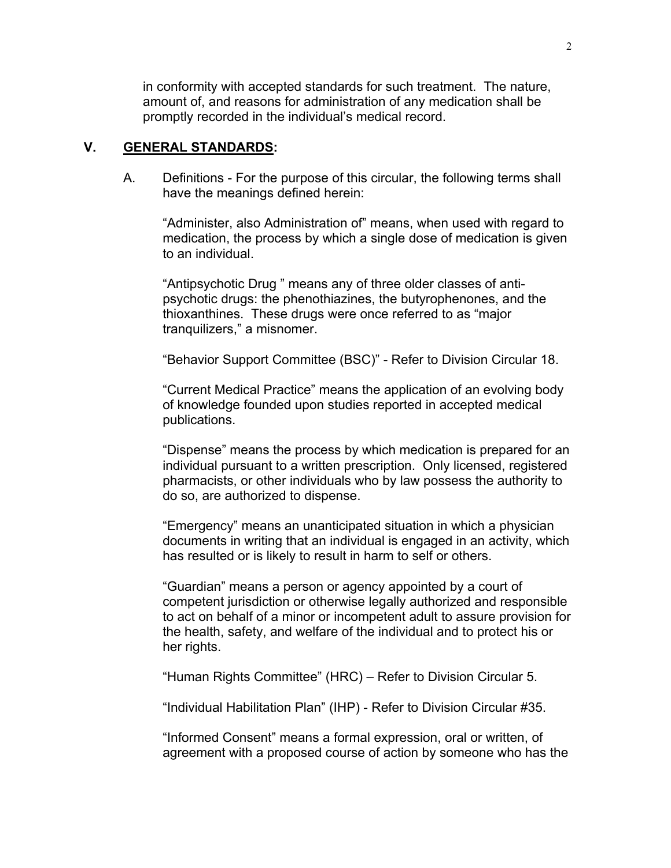in conformity with accepted standards for such treatment. The nature, amount of, and reasons for administration of any medication shall be promptly recorded in the individual's medical record.

### **V. GENERAL STANDARDS:**

A. Definitions - For the purpose of this circular, the following terms shall have the meanings defined herein:

"Administer, also Administration of" means, when used with regard to medication, the process by which a single dose of medication is given to an individual.

"Antipsychotic Drug " means any of three older classes of antipsychotic drugs: the phenothiazines, the butyrophenones, and the thioxanthines. These drugs were once referred to as "major tranquilizers," a misnomer.

"Behavior Support Committee (BSC)" - Refer to Division Circular 18.

"Current Medical Practice" means the application of an evolving body of knowledge founded upon studies reported in accepted medical publications.

"Dispense" means the process by which medication is prepared for an individual pursuant to a written prescription. Only licensed, registered pharmacists, or other individuals who by law possess the authority to do so, are authorized to dispense.

"Emergency" means an unanticipated situation in which a physician documents in writing that an individual is engaged in an activity, which has resulted or is likely to result in harm to self or others.

"Guardian" means a person or agency appointed by a court of competent jurisdiction or otherwise legally authorized and responsible to act on behalf of a minor or incompetent adult to assure provision for the health, safety, and welfare of the individual and to protect his or her rights.

"Human Rights Committee" (HRC) – Refer to Division Circular 5.

"Individual Habilitation Plan" (IHP) - Refer to Division Circular #35.

"Informed Consent" means a formal expression, oral or written, of agreement with a proposed course of action by someone who has the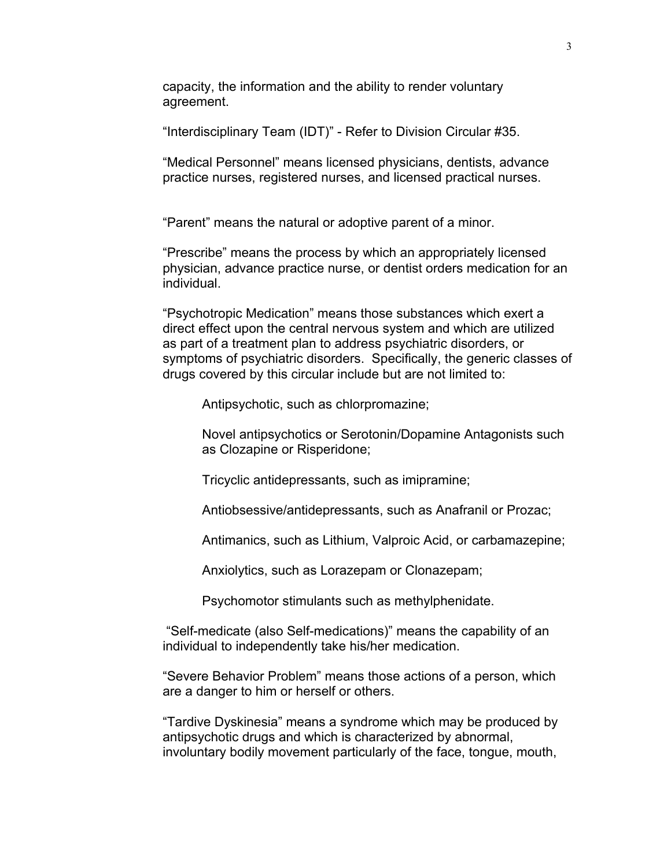capacity, the information and the ability to render voluntary agreement.

"Interdisciplinary Team (IDT)" - Refer to Division Circular #35.

"Medical Personnel" means licensed physicians, dentists, advance practice nurses, registered nurses, and licensed practical nurses.

"Parent" means the natural or adoptive parent of a minor.

"Prescribe" means the process by which an appropriately licensed physician, advance practice nurse, or dentist orders medication for an individual.

"Psychotropic Medication" means those substances which exert a direct effect upon the central nervous system and which are utilized as part of a treatment plan to address psychiatric disorders, or symptoms of psychiatric disorders. Specifically, the generic classes of drugs covered by this circular include but are not limited to:

Antipsychotic, such as chlorpromazine;

Novel antipsychotics or Serotonin/Dopamine Antagonists such as Clozapine or Risperidone;

Tricyclic antidepressants, such as imipramine;

Antiobsessive/antidepressants, such as Anafranil or Prozac;

Antimanics, such as Lithium, Valproic Acid, or carbamazepine;

Anxiolytics, such as Lorazepam or Clonazepam;

Psychomotor stimulants such as methylphenidate.

 "Self-medicate (also Self-medications)" means the capability of an individual to independently take his/her medication.

"Severe Behavior Problem" means those actions of a person, which are a danger to him or herself or others.

"Tardive Dyskinesia" means a syndrome which may be produced by antipsychotic drugs and which is characterized by abnormal, involuntary bodily movement particularly of the face, tongue, mouth,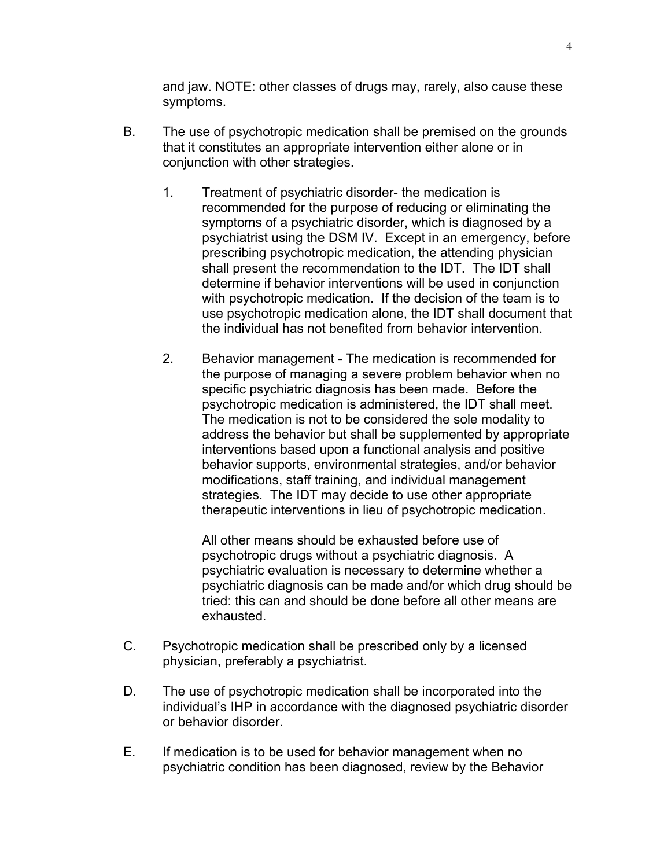and jaw. NOTE: other classes of drugs may, rarely, also cause these symptoms.

- B. The use of psychotropic medication shall be premised on the grounds that it constitutes an appropriate intervention either alone or in conjunction with other strategies.
	- 1. Treatment of psychiatric disorder- the medication is recommended for the purpose of reducing or eliminating the symptoms of a psychiatric disorder, which is diagnosed by a psychiatrist using the DSM IV. Except in an emergency, before prescribing psychotropic medication, the attending physician shall present the recommendation to the IDT. The IDT shall determine if behavior interventions will be used in conjunction with psychotropic medication. If the decision of the team is to use psychotropic medication alone, the IDT shall document that the individual has not benefited from behavior intervention.
	- 2. Behavior management The medication is recommended for the purpose of managing a severe problem behavior when no specific psychiatric diagnosis has been made. Before the psychotropic medication is administered, the IDT shall meet. The medication is not to be considered the sole modality to address the behavior but shall be supplemented by appropriate interventions based upon a functional analysis and positive behavior supports, environmental strategies, and/or behavior modifications, staff training, and individual management strategies. The IDT may decide to use other appropriate therapeutic interventions in lieu of psychotropic medication.

All other means should be exhausted before use of psychotropic drugs without a psychiatric diagnosis. A psychiatric evaluation is necessary to determine whether a psychiatric diagnosis can be made and/or which drug should be tried: this can and should be done before all other means are exhausted.

- C. Psychotropic medication shall be prescribed only by a licensed physician, preferably a psychiatrist.
- D. The use of psychotropic medication shall be incorporated into the individual's IHP in accordance with the diagnosed psychiatric disorder or behavior disorder.
- E. If medication is to be used for behavior management when no psychiatric condition has been diagnosed, review by the Behavior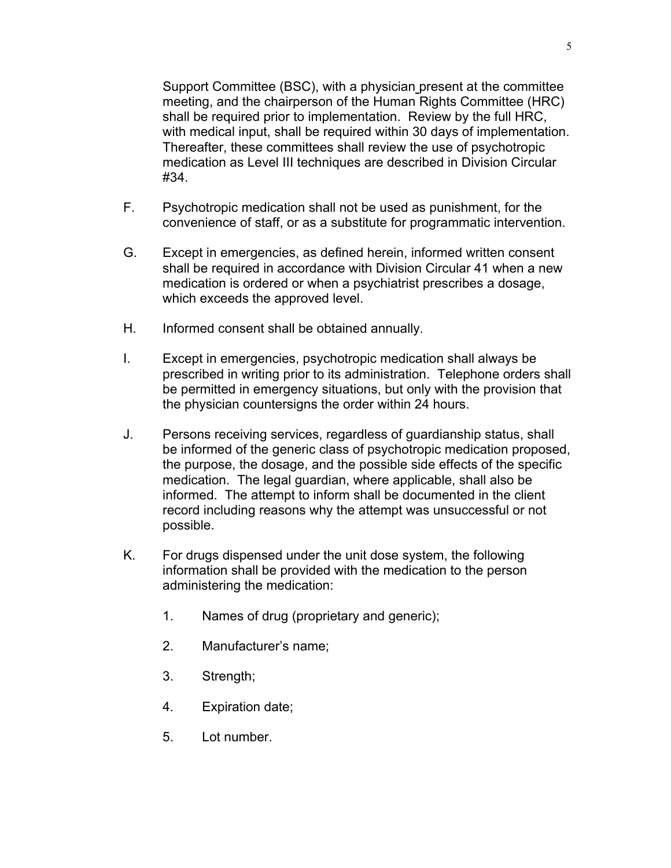Support Committee (BSC), with a physician present at the committee meeting, and the chairperson of the Human Rights Committee (HRC) shall be required prior to implementation. Review by the full HRC, with medical input, shall be required within 30 days of implementation. Thereafter, these committees shall review the use of psychotropic medication as Level III techniques are described in Division Circular #34.

- F. Psychotropic medication shall not be used as punishment, for the convenience of staff, or as a substitute for programmatic intervention.
- G. Except in emergencies, as defined herein, informed written consent shall be required in accordance with Division Circular 41 when a new medication is ordered or when a psychiatrist prescribes a dosage, which exceeds the approved level.
- H. Informed consent shall be obtained annually.
- I. Except in emergencies, psychotropic medication shall always be prescribed in writing prior to its administration. Telephone orders shall be permitted in emergency situations, but only with the provision that the physician countersigns the order within 24 hours.
- J. Persons receiving services, regardless of guardianship status, shall be informed of the generic class of psychotropic medication proposed, the purpose, the dosage, and the possible side effects of the specific medication. The legal guardian, where applicable, shall also be informed. The attempt to inform shall be documented in the client record including reasons why the attempt was unsuccessful or not possible.
- K. For drugs dispensed under the unit dose system, the following information shall be provided with the medication to the person administering the medication:
	- 1. Names of drug (proprietary and generic);
	- 2. Manufacturer's name;
	- 3. Strength;
	- 4. Expiration date;
	- 5. Lot number.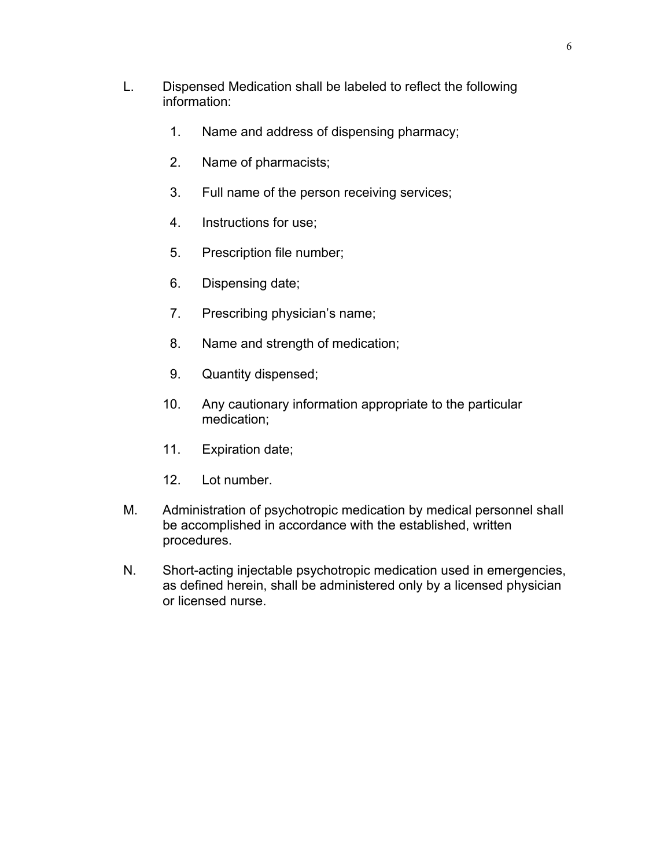- L. Dispensed Medication shall be labeled to reflect the following information:
	- 1. Name and address of dispensing pharmacy;
	- 2. Name of pharmacists;
	- 3. Full name of the person receiving services;
	- 4. Instructions for use;
	- 5. Prescription file number;
	- 6. Dispensing date;
	- 7. Prescribing physician's name;
	- 8. Name and strength of medication;
	- 9. Quantity dispensed;
	- 10. Any cautionary information appropriate to the particular medication;
	- 11. Expiration date;
	- 12. Lot number.
- M. Administration of psychotropic medication by medical personnel shall be accomplished in accordance with the established, written procedures.
- N. Short-acting injectable psychotropic medication used in emergencies, as defined herein, shall be administered only by a licensed physician or licensed nurse.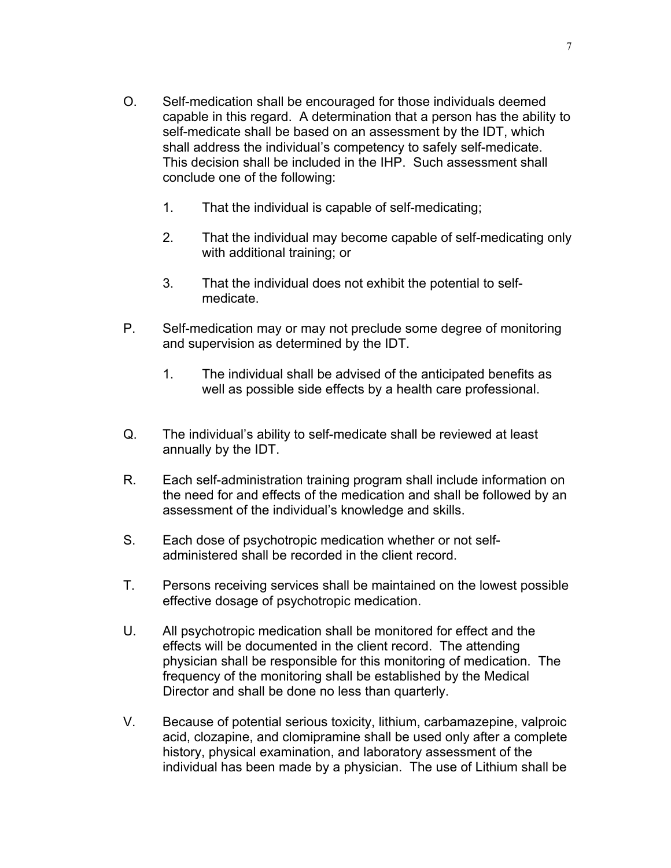- O. Self-medication shall be encouraged for those individuals deemed capable in this regard. A determination that a person has the ability to self-medicate shall be based on an assessment by the IDT, which shall address the individual's competency to safely self-medicate. This decision shall be included in the IHP. Such assessment shall conclude one of the following:
	- 1. That the individual is capable of self-medicating;
	- 2. That the individual may become capable of self-medicating only with additional training; or
	- 3. That the individual does not exhibit the potential to selfmedicate.
- P. Self-medication may or may not preclude some degree of monitoring and supervision as determined by the IDT.
	- 1. The individual shall be advised of the anticipated benefits as well as possible side effects by a health care professional.
- Q. The individual's ability to self-medicate shall be reviewed at least annually by the IDT.
- R. Each self-administration training program shall include information on the need for and effects of the medication and shall be followed by an assessment of the individual's knowledge and skills.
- S. Each dose of psychotropic medication whether or not selfadministered shall be recorded in the client record.
- T. Persons receiving services shall be maintained on the lowest possible effective dosage of psychotropic medication.
- U. All psychotropic medication shall be monitored for effect and the effects will be documented in the client record. The attending physician shall be responsible for this monitoring of medication. The frequency of the monitoring shall be established by the Medical Director and shall be done no less than quarterly.
- V. Because of potential serious toxicity, lithium, carbamazepine, valproic acid, clozapine, and clomipramine shall be used only after a complete history, physical examination, and laboratory assessment of the individual has been made by a physician. The use of Lithium shall be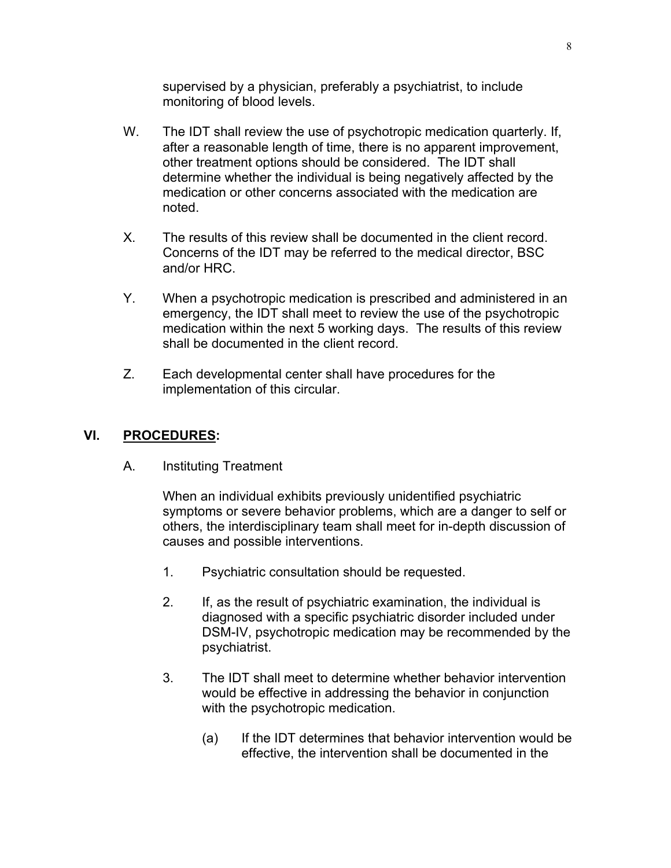supervised by a physician, preferably a psychiatrist, to include monitoring of blood levels.

- W. The IDT shall review the use of psychotropic medication quarterly. If, after a reasonable length of time, there is no apparent improvement, other treatment options should be considered. The IDT shall determine whether the individual is being negatively affected by the medication or other concerns associated with the medication are noted.
- X. The results of this review shall be documented in the client record. Concerns of the IDT may be referred to the medical director, BSC and/or HRC.
- Y. When a psychotropic medication is prescribed and administered in an emergency, the IDT shall meet to review the use of the psychotropic medication within the next 5 working days. The results of this review shall be documented in the client record.
- Z. Each developmental center shall have procedures for the implementation of this circular.

### **VI. PROCEDURES:**

A. Instituting Treatment

When an individual exhibits previously unidentified psychiatric symptoms or severe behavior problems, which are a danger to self or others, the interdisciplinary team shall meet for in-depth discussion of causes and possible interventions.

- 1. Psychiatric consultation should be requested.
- 2. If, as the result of psychiatric examination, the individual is diagnosed with a specific psychiatric disorder included under DSM-IV, psychotropic medication may be recommended by the psychiatrist.
- 3. The IDT shall meet to determine whether behavior intervention would be effective in addressing the behavior in conjunction with the psychotropic medication.
	- (a) If the IDT determines that behavior intervention would be effective, the intervention shall be documented in the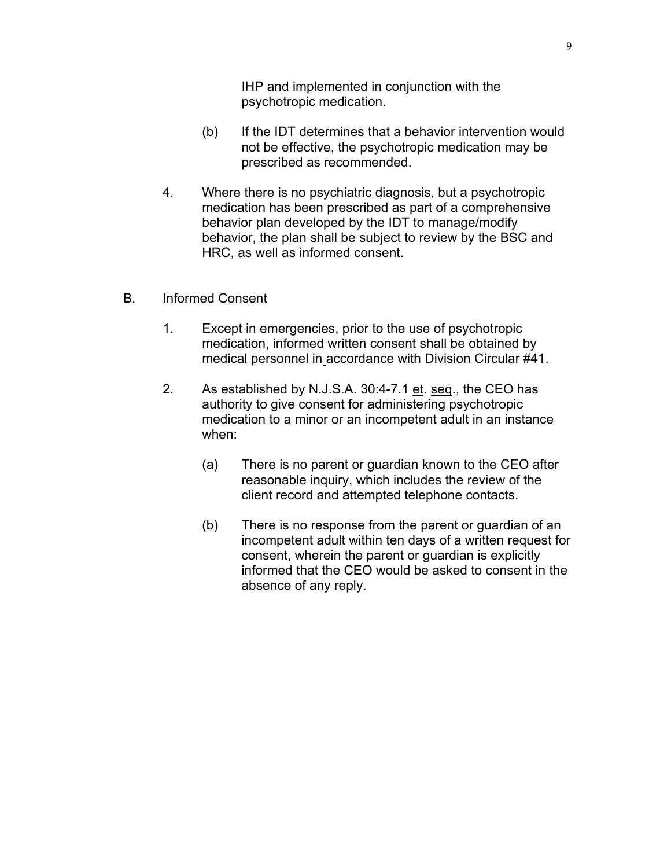IHP and implemented in conjunction with the psychotropic medication.

- (b) If the IDT determines that a behavior intervention would not be effective, the psychotropic medication may be prescribed as recommended.
- 4. Where there is no psychiatric diagnosis, but a psychotropic medication has been prescribed as part of a comprehensive behavior plan developed by the IDT to manage/modify behavior, the plan shall be subject to review by the BSC and HRC, as well as informed consent.
- B. Informed Consent
	- 1. Except in emergencies, prior to the use of psychotropic medication, informed written consent shall be obtained by medical personnel in accordance with Division Circular #41.
	- 2. As established by N.J.S.A. 30:4-7.1 et. seq., the CEO has authority to give consent for administering psychotropic medication to a minor or an incompetent adult in an instance when:
		- (a) There is no parent or guardian known to the CEO after reasonable inquiry, which includes the review of the client record and attempted telephone contacts.
		- (b) There is no response from the parent or guardian of an incompetent adult within ten days of a written request for consent, wherein the parent or guardian is explicitly informed that the CEO would be asked to consent in the absence of any reply.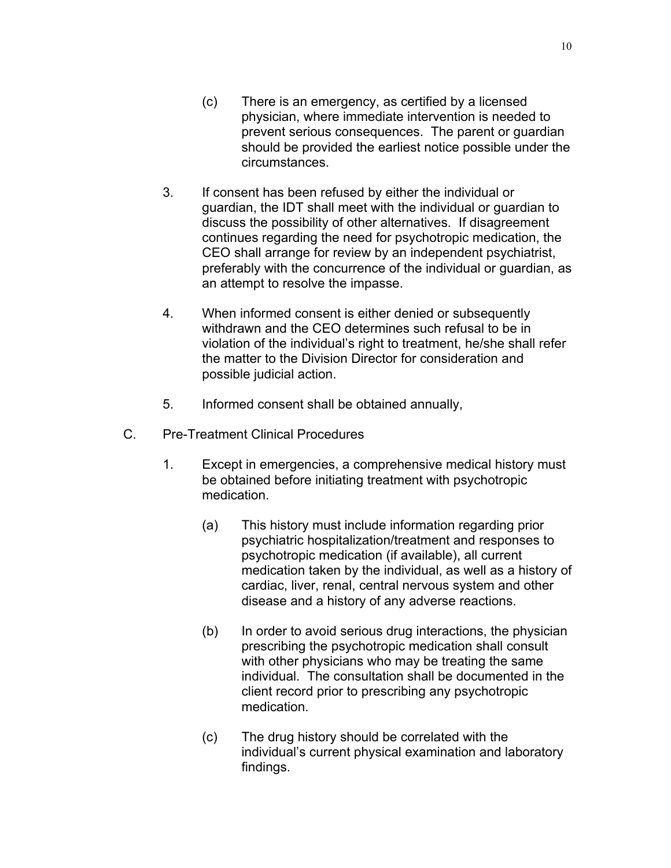- (c) There is an emergency, as certified by a licensed physician, where immediate intervention is needed to prevent serious consequences. The parent or guardian should be provided the earliest notice possible under the circumstances.
- 3. If consent has been refused by either the individual or guardian, the IDT shall meet with the individual or guardian to discuss the possibility of other alternatives. If disagreement continues regarding the need for psychotropic medication, the CEO shall arrange for review by an independent psychiatrist, preferably with the concurrence of the individual or guardian, as an attempt to resolve the impasse.
- 4. When informed consent is either denied or subsequently withdrawn and the CEO determines such refusal to be in violation of the individual's right to treatment, he/she shall refer the matter to the Division Director for consideration and possible judicial action.
- 5. Informed consent shall be obtained annually,
- C. Pre-Treatment Clinical Procedures
	- 1. Except in emergencies, a comprehensive medical history must be obtained before initiating treatment with psychotropic medication.
		- (a) This history must include information regarding prior psychiatric hospitalization/treatment and responses to psychotropic medication (if available), all current medication taken by the individual, as well as a history of cardiac, liver, renal, central nervous system and other disease and a history of any adverse reactions.
		- (b) In order to avoid serious drug interactions, the physician prescribing the psychotropic medication shall consult with other physicians who may be treating the same individual. The consultation shall be documented in the client record prior to prescribing any psychotropic medication.
		- (c) The drug history should be correlated with the individual's current physical examination and laboratory findings.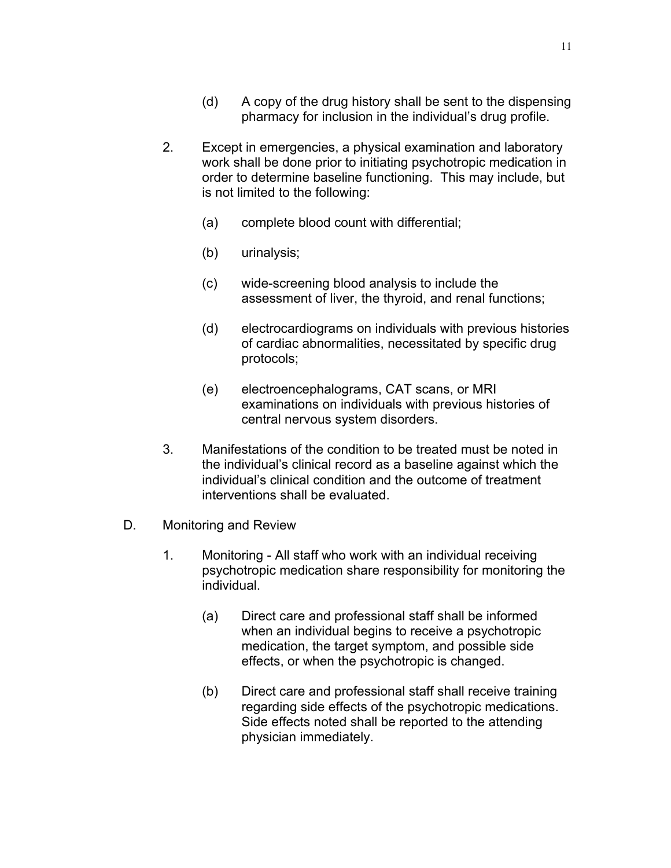- (d) A copy of the drug history shall be sent to the dispensing pharmacy for inclusion in the individual's drug profile.
- 2. Except in emergencies, a physical examination and laboratory work shall be done prior to initiating psychotropic medication in order to determine baseline functioning. This may include, but is not limited to the following:
	- (a) complete blood count with differential;
	- (b) urinalysis;
	- (c) wide-screening blood analysis to include the assessment of liver, the thyroid, and renal functions;
	- (d) electrocardiograms on individuals with previous histories of cardiac abnormalities, necessitated by specific drug protocols;
	- (e) electroencephalograms, CAT scans, or MRI examinations on individuals with previous histories of central nervous system disorders.
- 3. Manifestations of the condition to be treated must be noted in the individual's clinical record as a baseline against which the individual's clinical condition and the outcome of treatment interventions shall be evaluated.
- D. Monitoring and Review
	- 1. Monitoring All staff who work with an individual receiving psychotropic medication share responsibility for monitoring the individual.
		- (a) Direct care and professional staff shall be informed when an individual begins to receive a psychotropic medication, the target symptom, and possible side effects, or when the psychotropic is changed.
		- (b) Direct care and professional staff shall receive training regarding side effects of the psychotropic medications. Side effects noted shall be reported to the attending physician immediately.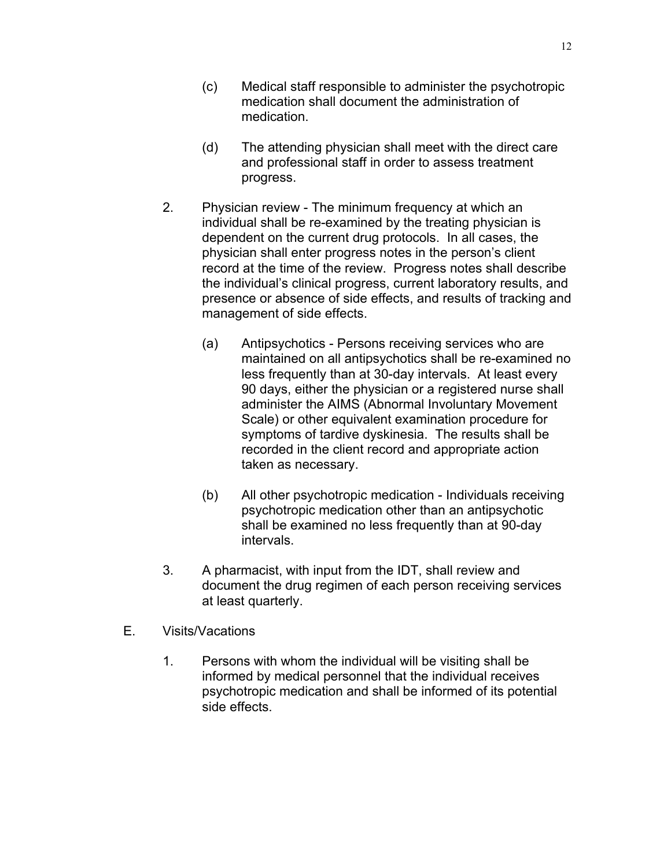- (c) Medical staff responsible to administer the psychotropic medication shall document the administration of medication.
- (d) The attending physician shall meet with the direct care and professional staff in order to assess treatment progress.
- 2. Physician review The minimum frequency at which an individual shall be re-examined by the treating physician is dependent on the current drug protocols. In all cases, the physician shall enter progress notes in the person's client record at the time of the review. Progress notes shall describe the individual's clinical progress, current laboratory results, and presence or absence of side effects, and results of tracking and management of side effects.
	- (a) Antipsychotics Persons receiving services who are maintained on all antipsychotics shall be re-examined no less frequently than at 30-day intervals. At least every 90 days, either the physician or a registered nurse shall administer the AIMS (Abnormal Involuntary Movement Scale) or other equivalent examination procedure for symptoms of tardive dyskinesia. The results shall be recorded in the client record and appropriate action taken as necessary.
	- (b) All other psychotropic medication Individuals receiving psychotropic medication other than an antipsychotic shall be examined no less frequently than at 90-day intervals.
- 3. A pharmacist, with input from the IDT, shall review and document the drug regimen of each person receiving services at least quarterly.
- E. Visits/Vacations
	- 1. Persons with whom the individual will be visiting shall be informed by medical personnel that the individual receives psychotropic medication and shall be informed of its potential side effects.